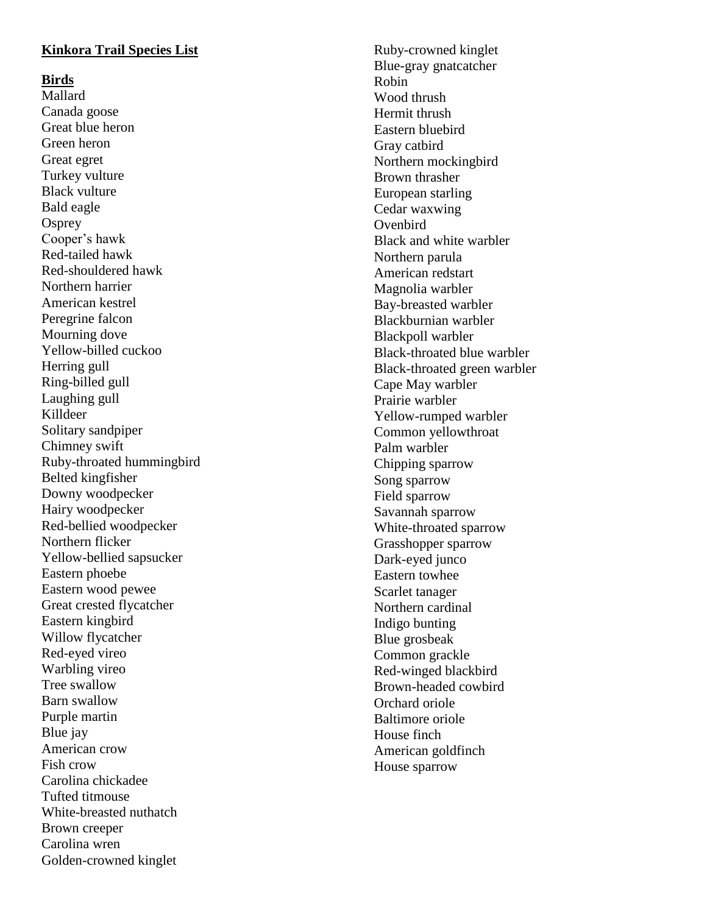## **Kinkora Trail Species List**

#### **Birds**

Mallard Canada goose Great blue heron Green heron Great egret Turkey vulture Black vulture Bald eagle **Osprey** Cooper's hawk Red -tailed hawk Red -shouldered hawk Northern harrier American kestrel Peregrine falcon Mourning dove Yellow -billed cuckoo Herring gull Ring -billed gull Laughing gull Killdeer Solitary sandpiper Chimney swift Ruby -throated hummingbird Belted kingfisher Downy woodpecker Hairy woodpecker Red -bellied woodpecker Northern flicker Yellow -bellied sapsucker Eastern phoebe Eastern wood pewee Great crested flycatcher Eastern kingbird Willow flycatcher Red -eyed vireo Warbling vireo Tree swallow Barn swallow Purple martin Blue jay American crow Fish crow Carolina chickadee Tufted titmouse White -breasted nuthatch Brown creeper Carolina wren Golden -crowned kinglet

Ruby -crowned kinglet Blue -gray gnatcatcher Robin Wood thrush Hermit thrush Eastern bluebird Gray catbird Northern mockingbird Brown thrasher European starling Cedar waxwing **Ovenbird** Black and white warbler Northern parula American redstart Magnolia warbler Bay -breasted warbler Blackburnian warbler Blackpoll warbler Black -throated blue warbler Black -throated green warbler Cape May warbler Prairie warbler Yellow -rumped warbler Common yellowthroat Palm warbler Chipping sparrow Song sparrow Field sparrow Savannah sparrow White -throated sparrow Grasshopper sparrow Dark -eyed junco Eastern towhee Scarlet tanager Northern cardinal Indigo bunting Blue grosbeak Common grackle Red -winged blackbird Brown -headed cowbird Orchard oriole Baltimore oriole House finch American goldfinch House sparrow